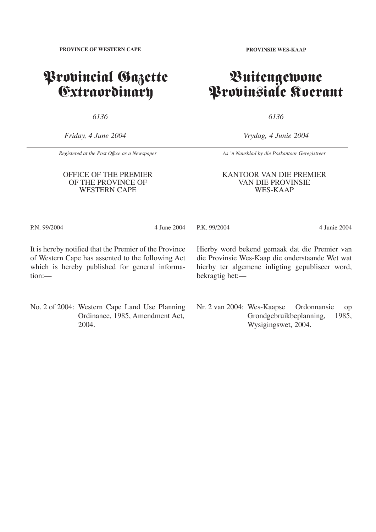# Provincial Gazette Extraordinary

*6136*

*Friday, 4 June 2004*

*Vrydag, 4 Junie 2004*

*6136*

|              | Registered at the Post Office as a Newspaper                                                                                                                  | As 'n Nuusblad by die Poskantoor Geregistreer                                                                                                                          |                                                                              |  |  |  |  |  |
|--------------|---------------------------------------------------------------------------------------------------------------------------------------------------------------|------------------------------------------------------------------------------------------------------------------------------------------------------------------------|------------------------------------------------------------------------------|--|--|--|--|--|
|              | OFFICE OF THE PREMIER<br>OF THE PROVINCE OF<br><b>WESTERN CAPE</b>                                                                                            | KANTOOR VAN DIE PREMIER<br><b>VAN DIE PROVINSIE</b><br><b>WES-KAAP</b>                                                                                                 |                                                                              |  |  |  |  |  |
| P.N. 99/2004 | 4 June 2004                                                                                                                                                   | P.K. 99/2004                                                                                                                                                           | 4 Junie 2004                                                                 |  |  |  |  |  |
| $tion:$ —    | It is hereby notified that the Premier of the Province<br>of Western Cape has assented to the following Act<br>which is hereby published for general informa- | Hierby word bekend gemaak dat die Premier van<br>die Provinsie Wes-Kaap die onderstaande Wet wat<br>hierby ter algemene inligting gepubliseer word,<br>bekragtig het:- |                                                                              |  |  |  |  |  |
|              | No. 2 of 2004: Western Cape Land Use Planning<br>Ordinance, 1985, Amendment Act,<br>2004.                                                                     | Nr. 2 van 2004: Wes-Kaapse                                                                                                                                             | Ordonnansie<br>op<br>Grondgebruikbeplanning,<br>1985,<br>Wysigingswet, 2004. |  |  |  |  |  |

**PROVINSIE WES-KAAP**

Buitengewone

Provinsiale Koerant